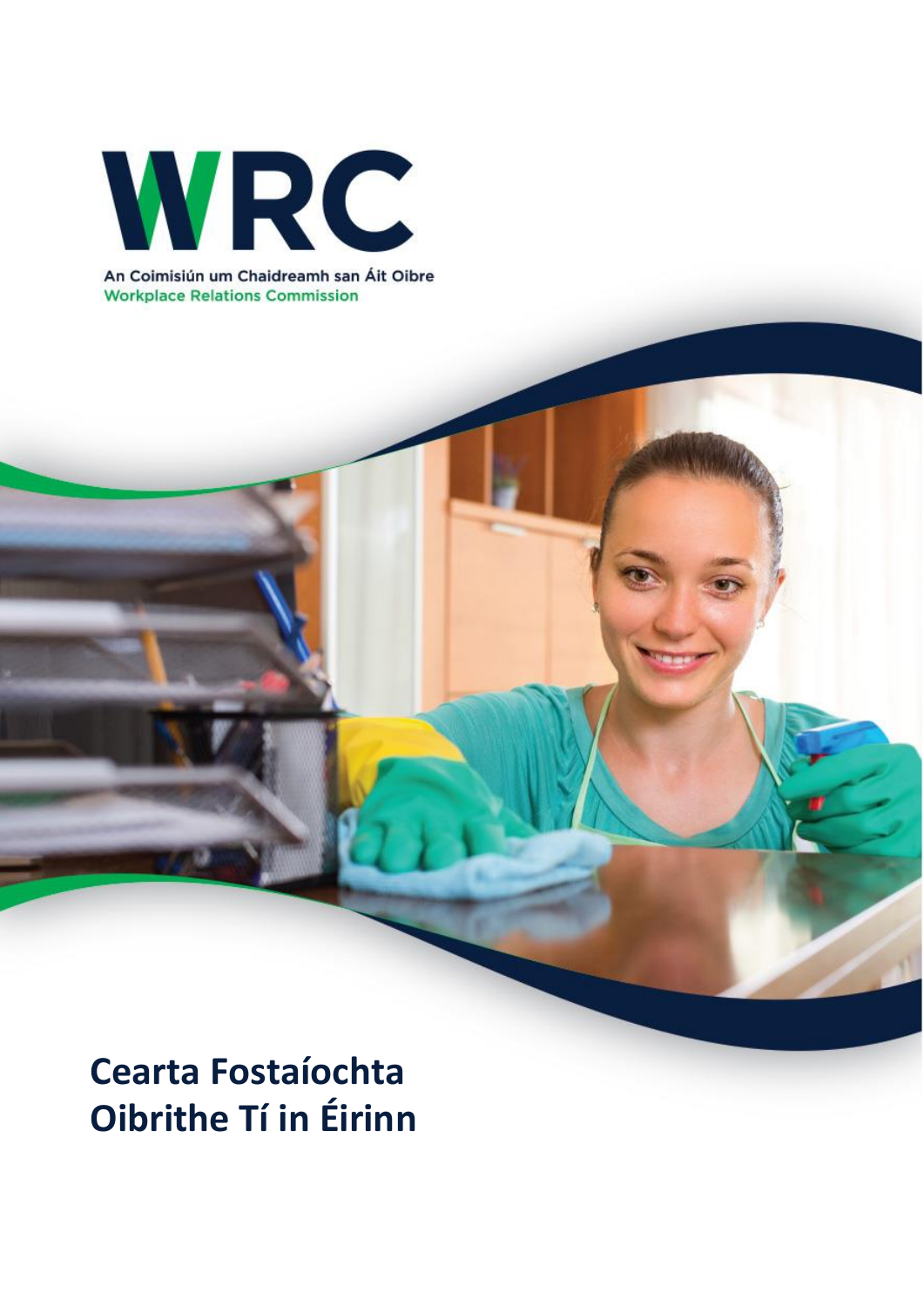

An Coimisiún um Chaidreamh san Áit Oibre **Workplace Relations Commission** 

**Cearta Fostaíochta Oibrithe Tí in Éirinn**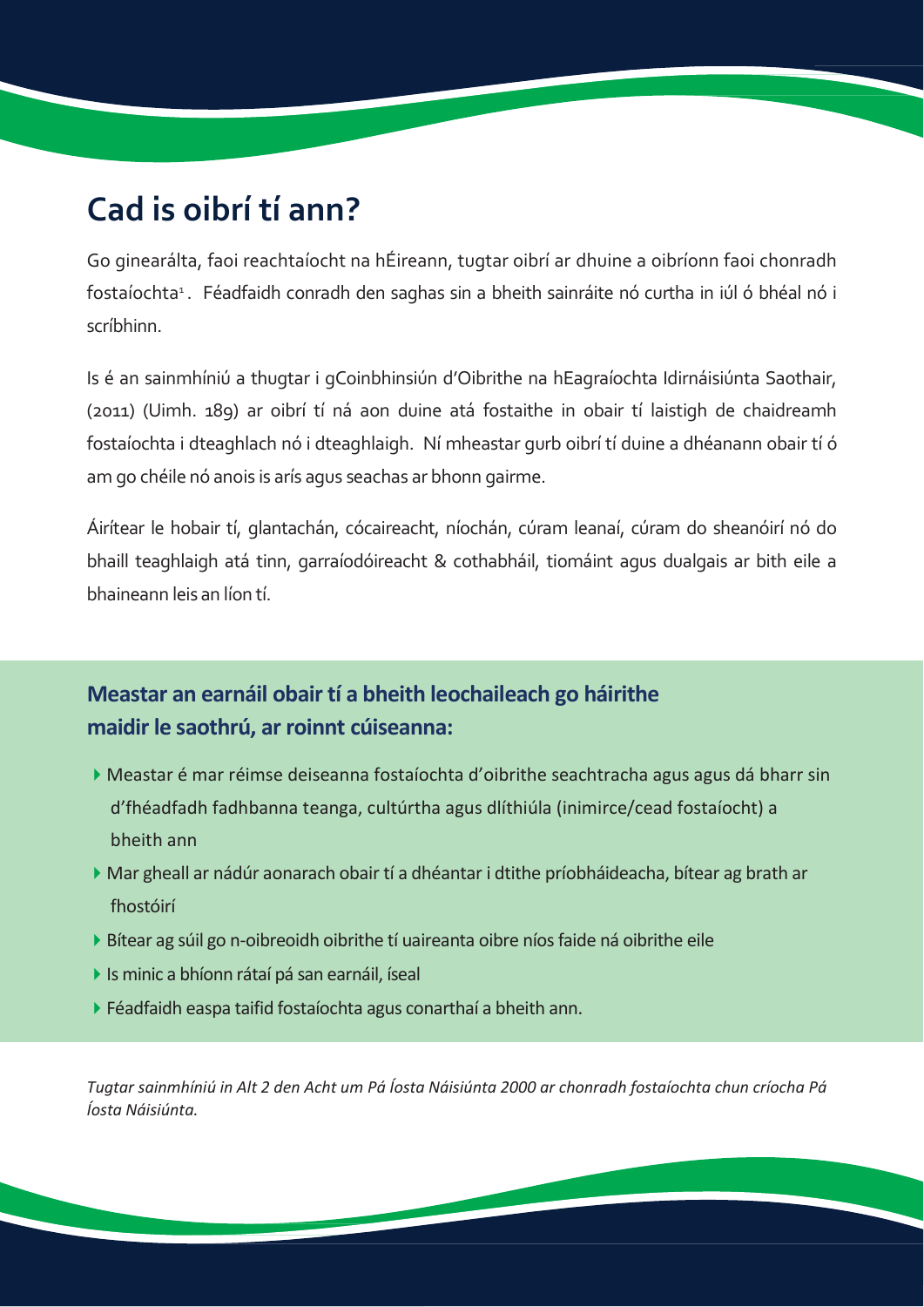## **Cad is oibrí tí ann?**

Go ginearálta, faoi reachtaíocht na hÉireann, tugtar oibrí ar dhuine a oibríonn faoi chonradh fostaíochta 1 . Féadfaidh conradh den saghas sin a bheith sainráite nó curtha in iúl ó bhéal nó i scríbhinn.

Is é an sainmhíniú a thugtar i gCoinbhinsiún d'Oibrithe na hEagraíochta Idirnáisiúnta Saothair, (2011) (Uimh. 189) ar oibrí tí ná aon duine atá fostaithe in obair tí laistigh de chaidreamh fostaíochta i dteaghlach nó i dteaghlaigh. Ní mheastar gurb oibrí tí duine a dhéanann obair tí ó am go chéile nó anois is arís agus seachas ar bhonn gairme.

Áirítear le hobair tí, glantachán, cócaireacht, níochán, cúram leanaí, cúram do sheanóirí nó do bhaill teaghlaigh atá tinn, garraíodóireacht & cothabháil, tiomáint agus dualgais ar bith eile a bhaineann leis an líon tí.

#### **Meastar an earnáil obair tí a bheith leochaileach go háirithe maidir le saothrú, ar roinnt cúiseanna:**

- Meastar é mar réimse deiseanna fostaíochta d'oibrithe seachtracha agus agus dá bharr sin d'fhéadfadh fadhbanna teanga, cultúrtha agus dlíthiúla (inimirce/cead fostaíocht) a bheith ann
- Mar gheall ar nádúr aonarach obair tí a dhéantar i dtithe príobháideacha, bítear ag brath ar fhostóirí
- Bítear ag súil go n-oibreoidh oibrithe tí uaireanta oibre níosfaide ná oibrithe eile
- Is minic a bhíonn rátaí pá san earnáil, íseal
- Féadfaidh easpa taifid fostaíochta agus conarthaí a bheith ann.

Tugtar sainmhíniú in Alt 2 den Acht um Pá Íosta Náisiúnta 2000 ar chonradh fostaíochta chun críocha Pá *Íosta Náisiúnta.*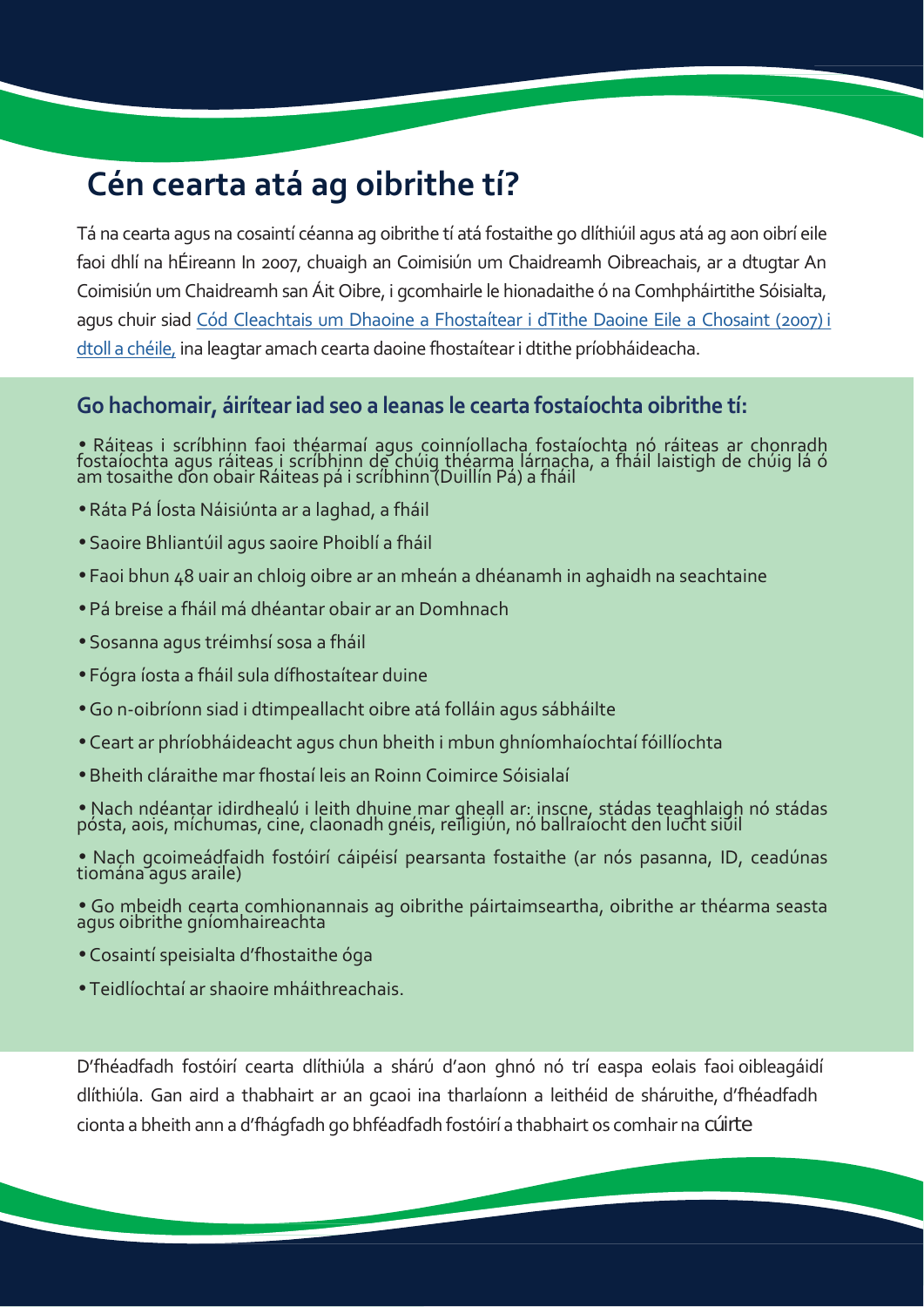# **Cén cearta atá ag oibrithe tí?**

Tá na cearta agus na cosaintí céanna ag oibrithe tí atá fostaithe go dlíthiúil agus atá ag aon oibrí eile faoi dhlí na hÉireann In 2007, chuaigh an Coimisiún um Chaidreamh Oibreachais, ar a dtugtar An Coimisiún um Chaidreamh san Áit Oibre, i gcomhairle le hionadaithe ó na Comhpháirtithe Sóisialta, agus chuir siad Cód Cleachtais um Dhaoine a Fhostaítear i dTithe Daoine Eile a Chosaint (2007) i dtoll a chéile, ina leagtar amach cearta daoine fhostaíteari dtithe príobháideacha.

#### **Go hachomair, áiríteariad seo a leanas le cearta fostaíochta oibrithe tí:**

• Ráiteas i scríbhinn faoi théarmaí agus coinníollacha fostaíochta nó ráiteas ar chonradh<br>fostaíochta agus ráiteas i scríbhinn de chúig théarma lárnacha, a fháil laistigh de chúig lá ó<br>am tosaithe don obair Ráiteas pá i sc

- Ráta Pá Íosta Náisiúnta ar a laghad, a fháil
- Saoire Bhliantúil agus saoire Phoiblí a fháil
- Faoi bhun 48 uair an chloig oibre ar an mheán a dhéanamh in aghaidh na seachtaine
- Pá breise a fháil má dhéantar obair ar an Domhnach
- Sosanna agus tréimhsí sosa a fháil
- Fógra íosta a fháil sula dífhostaítear duine
- Go n-oibríonn siad i dtimpeallacht oibre atá folláin agus sábháilte
- Ceart ar phríobháideacht agus chun bheith i mbun ghníomhaíochtaí fóillíochta
- Bheith cláraithe mar fhostaí leis an Roinn Coimirce Sóisialaí

• Nach ndéantar idirdhealú i leith dhuine mar gheall ar: inscne, stádas teaghlaigh nó stádas pósta, aois, míchumas, cine, claonadh gnéis, reiligiún, nó ballraíocht den lucht siúil

• Nach gcoimeádfaidh fostóirí cáipéisí pearsanta fostaithe (ar nós pasanna, ID, ceadúnas tiomána agus araile)

• Go mbeidh cearta comhionannais ag oibrithe páirtaimseartha, oibrithe ar théarma seasta agus oibrithe gníomhaireachta

- Cosaintí speisialta d'fhostaithe óga
- Teidlíochtaí ar shaoire mháithreachais.

D'fhéadfadh fostóirí cearta dlíthiúla a shárú d'aon ghnó nó trí easpa eolais faoi oibleagáidí dlíthiúla. Gan aird a thabhairt ar an gcaoi ina tharlaíonn a leithéid de sháruithe, d'fhéadfadh cionta a bheith ann a d'fhágfadh go bhféadfadh fostóirí a thabhairt os comhair na cúirte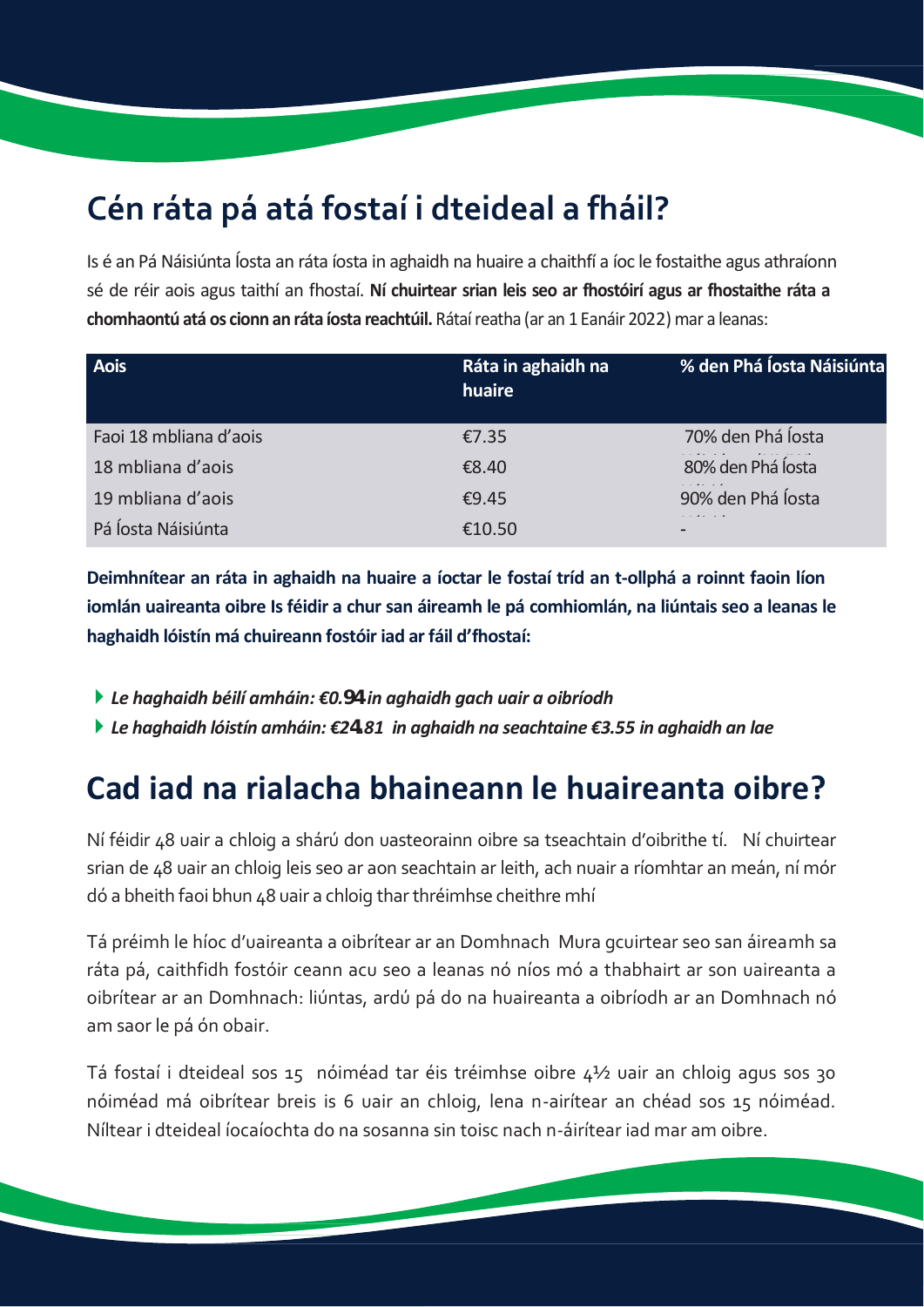# **Cén ráta pá atá fostaí i dteideal a fháil?**

Is é an Pá Náisiúnta Íosta an ráta íosta in aghaidh na huaire a chaithfí a íoc le fostaithe agus athraíonn sé de réir aois agus taithí an fhostaí. **Ní chuirtear srian leis seo ar fhostóirí agus ar fhostaithe ráta a chomhaontú atá os cionn an ráta íosta reachtúil.** Rátaíreatha (ar an 1 Eanáir 2022) mar a leanas:

| Aois                   | Ráta in aghaidh na<br>huaire | % den Phá Íosta Náisiúnta |
|------------------------|------------------------------|---------------------------|
| Faoi 18 mbliana d'aois | €7.35                        | 70% den Phá Íosta         |
| 18 mbliana d'aois      | €8.40                        | 80% den Phá Íosta         |
| 19 mbliana d'aois      | £9.45                        | 90% den Phá Íosta         |
| Pá Íosta Náisiúnta     | €10.50                       | -                         |

**Deimhnítear an ráta in aghaidh na huaire a íoctar le fostaí tríd an t-ollphá a roinnt faoin líon iomlán uaireanta oibre Is féidir a chur san áireamh le pá comhiomlán, na liúntais seo a leanas le haghaidh lóistín má chuireann fostóir iad ar fáil d'fhostaí:**

- *Le haghaidh béilí amháin: €0.94 in aghaidh gach uair a oibríodh*
- *Le haghaidh lóistín amháin: €24.81 in aghaidh na seachtaine €3.55 in aghaidh an lae*

### **Cad iad na rialacha bhaineann le huaireanta oibre?**

Ní féidir 48 uair a chloig a shárú don uasteorainn oibre sa tseachtain d'oibrithe tí. Ní chuirtear srian de 48 uair an chloig leis seo ar aon seachtain ar leith, ach nuair a ríomhtar an meán, ní mór dó a bheith faoi bhun 48 uair a chloig tharthréimhse cheithre mhí

Tá préimh le híoc d'uaireanta a oibrítear ar an Domhnach Mura gcuirtear seo san áireamh sa ráta pá, caithfidh fostóir ceann acu seo a leanas nó níos mó a thabhairt ar son uaireanta a oibrítear ar an Domhnach: liúntas, ardú pá do na huaireanta a oibríodh ar an Domhnach nó am saor le pá ón obair.

Tá fostaí i dteideal sos 15 nóiméad tar éis tréimhse oibre 4½ uair an chloig agus sos 30 nóiméad má oibrítear breis is 6 uair an chloig, lena n-airítear an chéad sos 15 nóiméad. Níltear i dteideal íocaíochta do na sosanna sin toisc nach n-áirítear iad mar am oibre.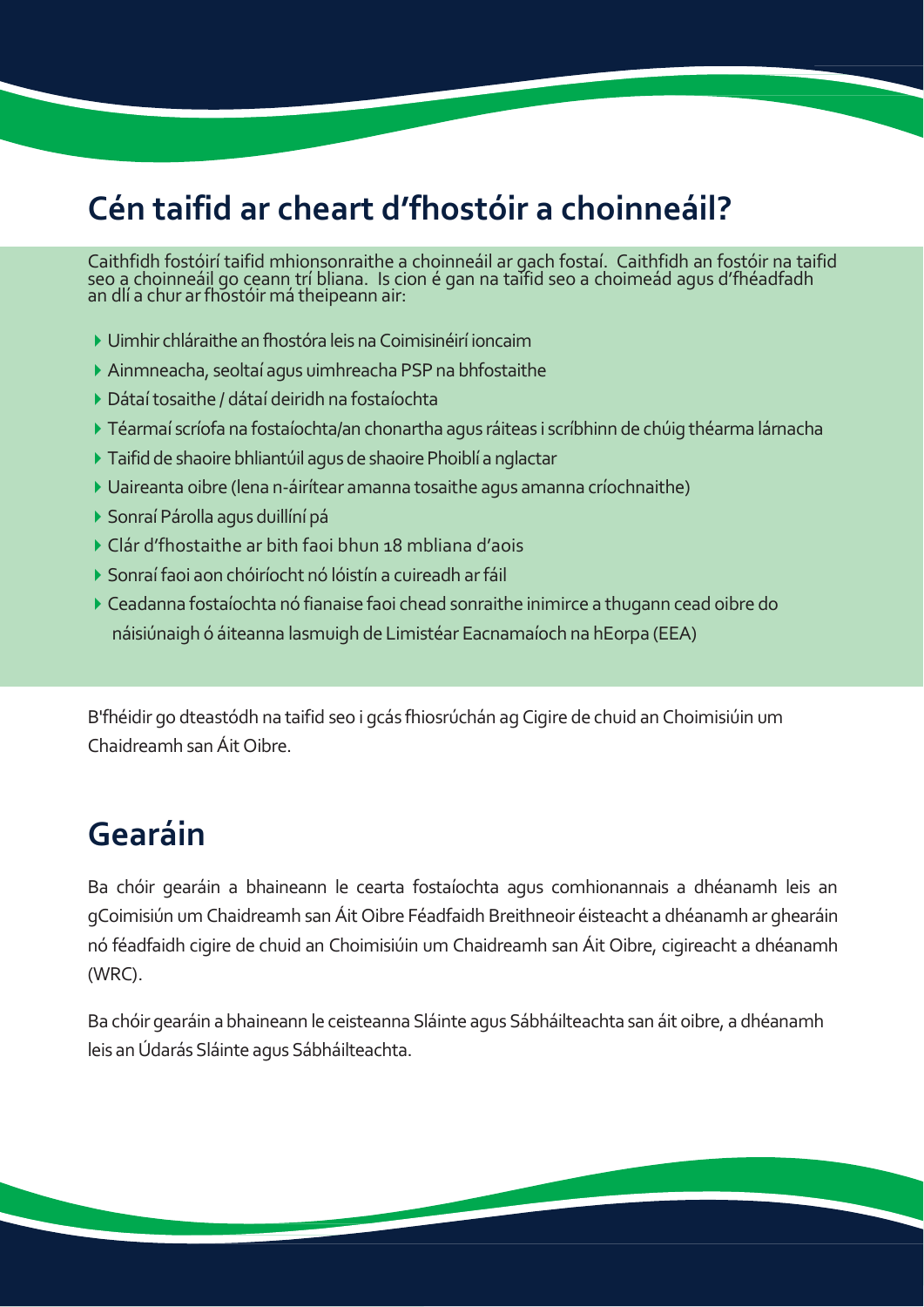# **Cén taifid ar cheart d'fhostóir a choinneáil?**

Caithfidh fostóirí taifid mhionsonraithe a choinneáil ar gach fostaí. Caithfidh an fostóir na taifid<br>seo a choinneáil go ceann trí bliana. Is cion é gan na taifid seo a choimeád agus d'fhéadfadh<br>an dlí a chur ar fhostóir

- Uimhir chláraithe an fhostóra leisnaCoimisinéirí ioncaim
- Ainmneacha, seoltaí agus uimhreacha PSPna bhfostaithe
- ▶ Dátaí tosaithe / dátaí deiridh na fostaíochta
- Téarmaí scríofa na fostaíochta/an chonartha agus ráiteas i scríbhinn de chúig théarma lárnacha
- ▶ Taifid de shaoire bhliantúil agus de shaoire Phoiblí a nglactar
- Uaireanta oibre (lena n-áirítear amanna tosaithe agus amanna críochnaithe)
- ▶ Sonraí Párolla agus duillíní pá
- Clár d'fhostaithe ar bith faoi bhun 18 mbliana d'aois
- Sonraífaoi aon chóiríocht nó lóistín a cuireadh arfáil
- Ceadanna fostaíochta nó fianaise faoi chead sonraithe inimirce a thugann cead oibre do náisiúnaigh ó áiteanna lasmuigh de Limistéar Eacnamaíoch na hEorpa (EEA)

B'fhéidir go dteastódh na taifid seo i gcás fhiosrúchán ag Cigire de chuid an Choimisiúin um Chaidreamh sanÁit Oibre.

### **Gearáin**

Ba chóir gearáin a bhaineann le cearta fostaíochta agus comhionannais a dhéanamh leis an gCoimisiún um Chaidreamh san Áit Oibre Féadfaidh Breithneoir éisteacht a dhéanamh ar ghearáin nó féadfaidh cigire de chuid an Choimisiúin um Chaidreamh san Áit Oibre, cigireacht a dhéanamh (WRC).

Ba chóir gearáin a bhaineann le ceisteanna Sláinte agus Sábháilteachta san áit oibre, a dhéanamh leis an Údarás Sláinte agus Sábháilteachta.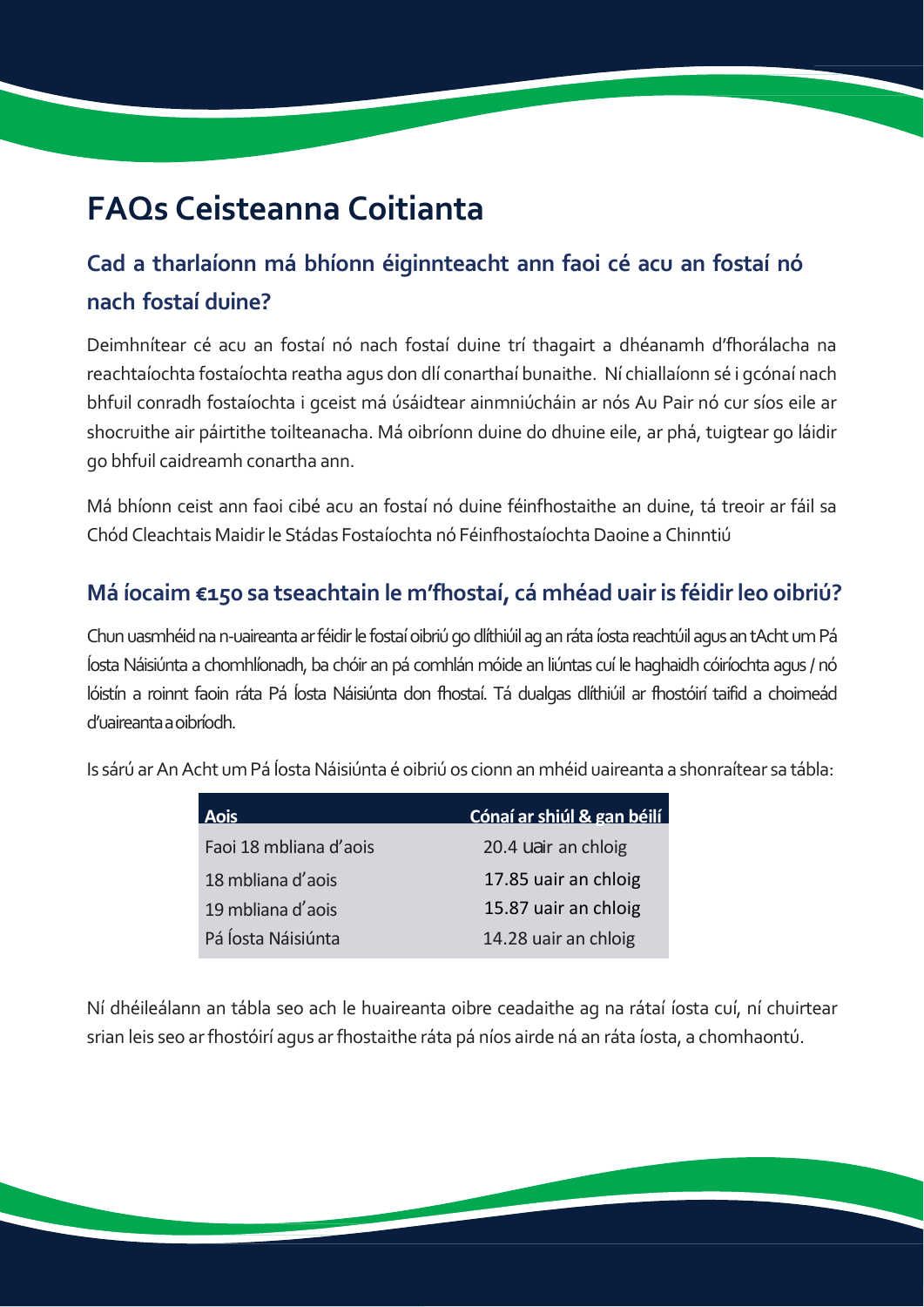# **FAQs Ceisteanna Coitianta**

### **Cad a tharlaíonn má bhíonn éiginnteacht ann faoi cé acu an fostaí nó nach fostaí duine?**

Deimhnítear cé acu an fostaí nó nach fostaí duine trí thagairt a dhéanamh d'fhorálacha na reachtaíochta fostaíochta reatha agus don dlí conarthaí bunaithe. Ní chiallaíonn sé i gcónaí nach bhfuil conradh fostaíochta i gceist má úsáidtear ainmniúcháin ar nós Au Pair nó cur síos eile ar shocruithe air páirtithe toilteanacha. Má oibríonn duine do dhuine eile, ar phá, tuigtear go láidir go bhfuil caidreamh conartha ann.

Má bhíonn ceist ann faoi cibé acu an fostaí nó duine féinfhostaithe an duine, tá treoir ar fáil sa Chód Cleachtais Maidirle Stádas Fostaíochta nó FéinfhostaíochtaDaoine a Chinntiú

#### **Má íocaim €150 sa tseachtain le m'fhostaí, cá mhéad uairis féidirleo oibriú?**

Chun uasmhéid na n-uaireanta ar féidir le fostaí oibriú go dlíthiúil ag an ráta íosta reachtúil agus an tAcht um Pá ÍostaNáisiúnta a chomhlíonadh, ba chóir an pá comhlán móide an liúntas cuí le haghaidh cóiríochta agus / nó lóistín a roinnt faoin ráta Pá Íosta Náisiúnta don fhostaí. Tá dualgas dlíthiúil ar fhostóirí taifid a choimeád d'uaireantaaoibríodh.

Is sárú arAnAcht umPá ÍostaNáisiúnta é oibriú os cionn an mhéid uaireanta a shonraítear sa tábla:

| <b>Aois</b>            | Cónaí ar shiúl & gan béilí |
|------------------------|----------------------------|
| Faoi 18 mbliana d'aois | 20.4 uair an chloig        |
| 18 mbliana d'aois      | 17.85 uair an chloig       |
| 19 mbliana d'aois      | 15.87 uair an chloig       |
| Pá Íosta Náisiúnta     | 14.28 uair an chloig       |

Ní dhéileálann an tábla seo ach le huaireanta oibre ceadaithe ag na rátaí íosta cuí, ní chuirtear srian leis seo arfhostóirí agus arfhostaithe ráta pá níos airde ná an ráta íosta, a chomhaontú.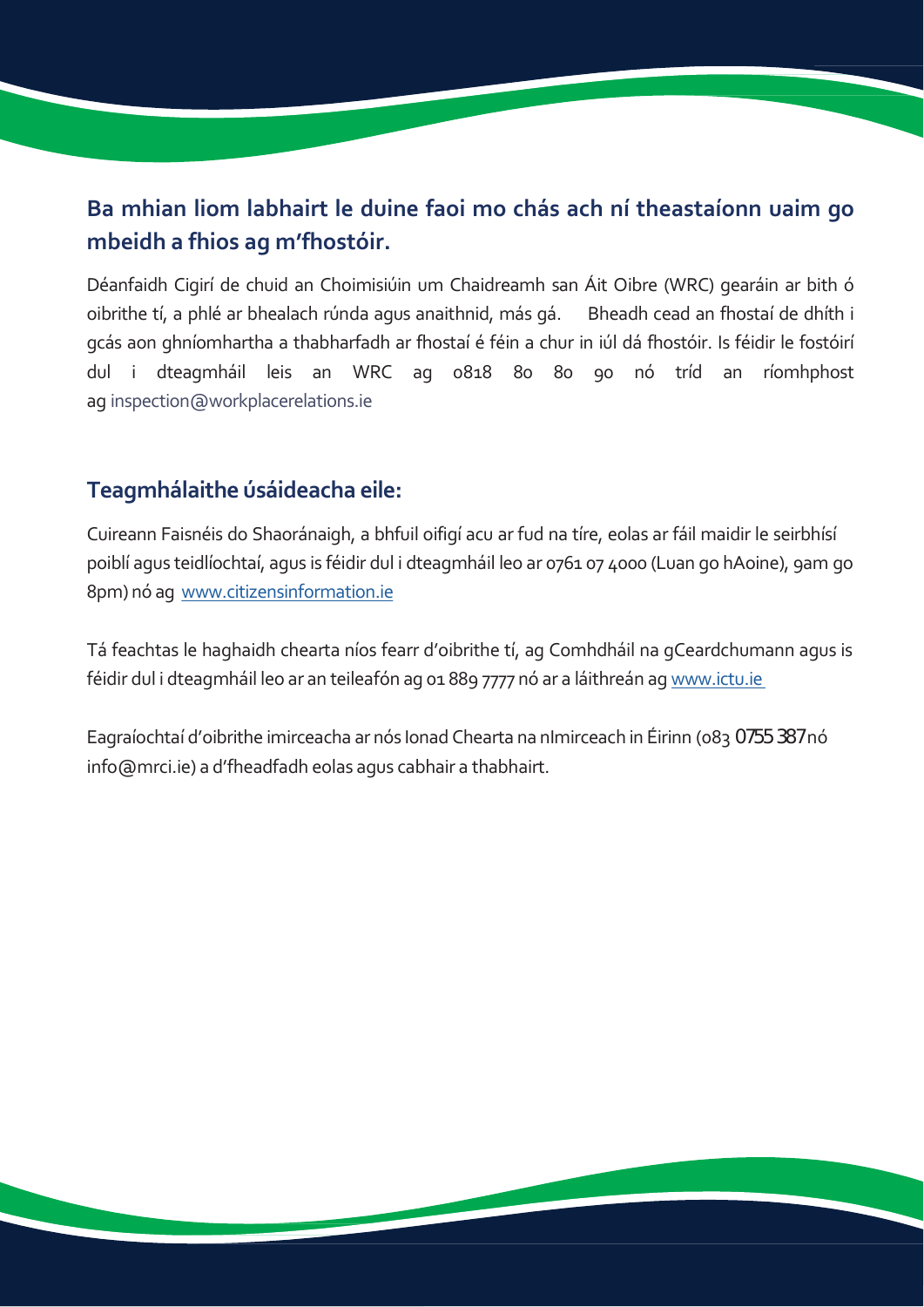#### **Ba mhian liom labhairt le duine faoi mo chás ach ní theastaíonn uaim go mbeidh a fhios ag m'fhostóir.**

Déanfaidh Cigirí de chuid an Choimisiúin um Chaidreamh san Áit Oibre (WRC) gearáin ar bith ó oibrithe tí, a phlé ar bhealach rúnda agus anaithnid, más gá. Bheadh cead an fhostaí de dhíth i gcás aon ghníomhartha a thabharfadh ar fhostaí é féin a chur in iúl dá fhostóir. Is féidir le fostóirí dul i dteagmháil leis an WRC ag 0818 80 80 90 nó tríd an ríomhphost ag [inspection@workplacerelations](mailto:inspection@workplacerelations.ie).ie

#### **Teagmhálaithe úsáideacha eile:**

Cuireann Faisnéis do Shaoránaigh, a bhfuil oifigí acu ar fud na tíre, eolas ar fáil maidir le seirbhísí poiblí agus teidlíochtaí, agus is féidir dul i dteagmháil leo ar 0761 07 4000 (Luan go hAoine), 9am go 8pm) nó ag w[ww.citizensinformation.ie](http://www.citizensinformation.ie/en/)

Tá feachtas le haghaidh chearta níos fearr d'oibrithe tí, ag Comhdháil na gCeardchumann agus is féidir dul i dteagmháil leo ar an teileafón ag 01 889 7777 nó ar a láithreán ag [www.ictu.ie](http://www.ictu.ie/)

Eagraíochtaí d'oibrithe imirceacha ar nós Ionad Chearta na nImirceach in Éirinn (083 0755 387 nó info@mrci.ie) a d'fheadfadh eolas agus cabhair a thabhairt.